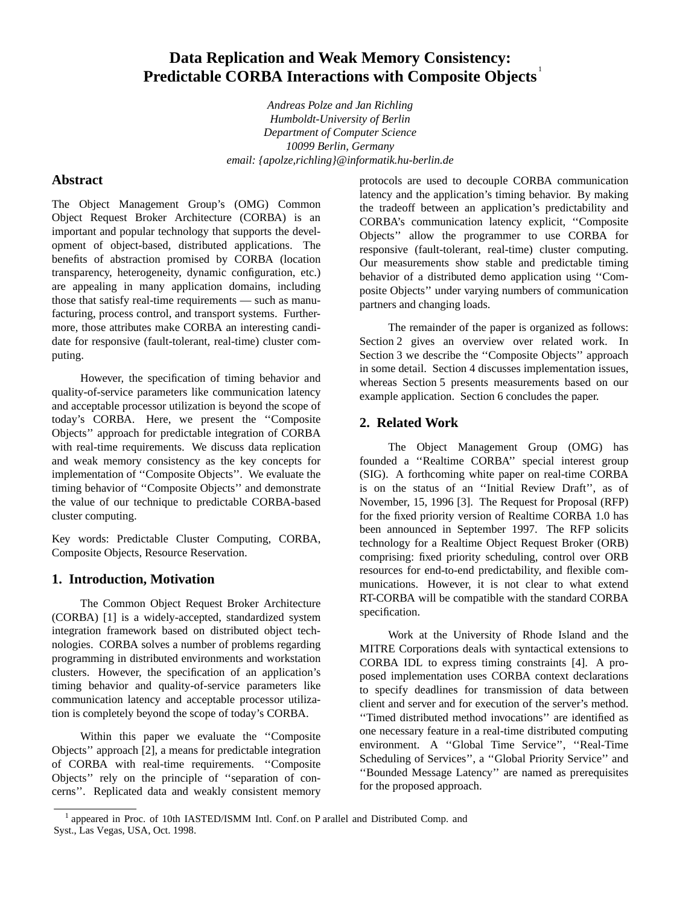# **Data Replication and Weak Memory Consistency: Predictable CORBA Interactions with Composite Objects** 1

*Andreas Polze and Jan Richling Humboldt-University of Berlin Department of Computer Science 10099 Berlin, Germany email: {apolze,richling}@informatik.hu-berlin.de*

# **Abstract**

The Object Management Group's (OMG) Common Object Request Broker Architecture (CORBA) is an important and popular technology that supports the development of object-based, distributed applications. The benefits of abstraction promised by CORBA (location transparency, heterogeneity, dynamic configuration, etc.) are appealing in many application domains, including those that satisfy real-time requirements — such as manufacturing, process control, and transport systems. Furthermore, those attributes make CORBA an interesting candidate for responsive (fault-tolerant, real-time) cluster computing.

However, the specification of timing behavior and quality-of-service parameters like communication latency and acceptable processor utilization is beyond the scope of today's CORBA. Here, we present the ''Composite Objects'' approach for predictable integration of CORBA with real-time requirements. We discuss data replication and weak memory consistency as the key concepts for implementation of ''Composite Objects''. We evaluate the timing behavior of ''Composite Objects'' and demonstrate the value of our technique to predictable CORBA-based cluster computing.

Key words: Predictable Cluster Computing, CORBA, Composite Objects, Resource Reservation.

# **1. Introduction, Motivation**

The Common Object Request Broker Architecture (CORBA) [1] is a widely-accepted, standardized system integration framework based on distributed object technologies. CORBA solves a number of problems regarding programming in distributed environments and workstation clusters. However, the specification of an application's timing behavior and quality-of-service parameters like communication latency and acceptable processor utilization is completely beyond the scope of today's CORBA.

Within this paper we evaluate the ''Composite Objects'' approach [2], a means for predictable integration of CORBA with real-time requirements. ''Composite Objects'' rely on the principle of ''separation of concerns''. Replicated data and weakly consistent memory protocols are used to decouple CORBA communication latency and the application's timing behavior. By making the tradeoff between an application's predictability and CORBA's communication latency explicit, "Composite Objects'' allow the programmer to use CORBA for responsive (fault-tolerant, real-time) cluster computing. Our measurements show stable and predictable timing behavior of a distributed demo application using ''Composite Objects'' under varying numbers of communication partners and changing loads.

The remainder of the paper is organized as follows: Section 2 gives an overview over related work. In Section 3 we describe the ''Composite Objects'' approach in some detail. Section 4 discusses implementation issues, whereas Section 5 presents measurements based on our example application. Section 6 concludes the paper.

# **2. Related Work**

The Object Management Group (OMG) has founded a "Realtime CORBA" special interest group (SIG). A forthcoming white paper on real-time CORBA is on the status of an ''Initial Review Draft'', as of November, 15, 1996 [3]. The Request for Proposal (RFP) for the fixed priority version of Realtime CORBA 1.0 has been announced in September 1997. The RFP solicits technology for a Realtime Object Request Broker (ORB) comprising: fixed priority scheduling, control over ORB resources for end-to-end predictability, and flexible communications. However, it is not clear to what extend RT-CORBA will be compatible with the standard CORBA specification.

Work at the University of Rhode Island and the MITRE Corporations deals with syntactical extensions to CORBA IDL to express timing constraints [4]. A proposed implementation uses CORBA context declarations to specify deadlines for transmission of data between client and server and for execution of the server's method. ''Timed distributed method invocations'' are identified as one necessary feature in a real-time distributed computing environment. A ''Global Time Service'', ''Real-Time Scheduling of Services'', a ''Global Priority Service'' and ''Bounded Message Latency'' are named as prerequisites for the proposed approach.

<sup>&</sup>lt;sup>1</sup> appeared in Proc. of 10th IASTED/ISMM Intl. Conf. on P arallel and Distributed Comp. and Syst., Las Vegas, USA, Oct. 1998.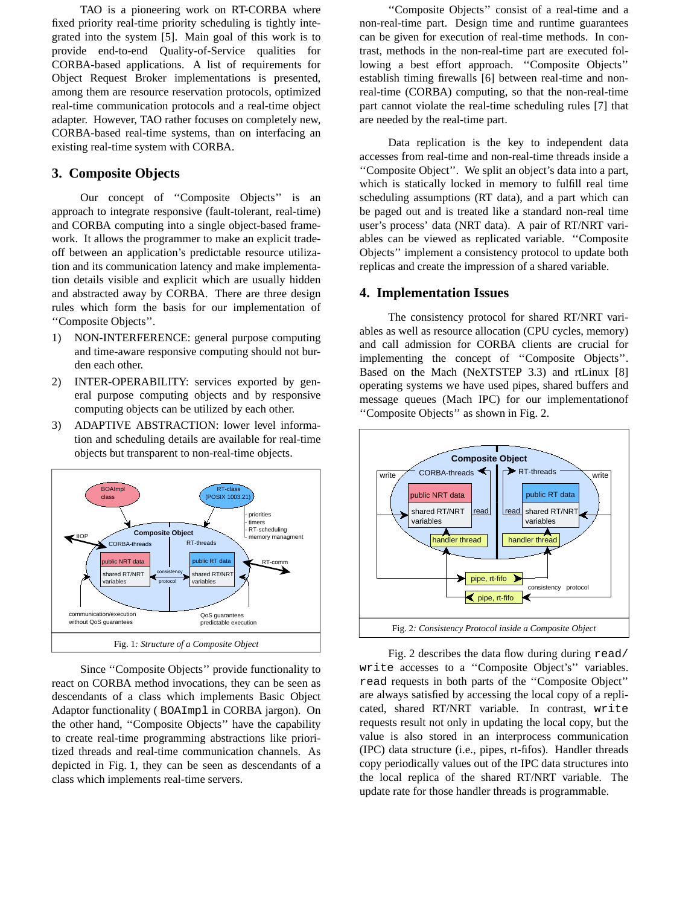TAO is a pioneering work on RT-CORBA where fixed priority real-time priority scheduling is tightly integrated into the system [5]. Main goal of this work is to provide end-to-end Quality-of-Service qualities for CORBA-based applications. A list of requirements for Object Request Broker implementations is presented, among them are resource reservation protocols, optimized real-time communication protocols and a real-time object adapter. However, TAO rather focuses on completely new, CORBA-based real-time systems, than on interfacing an existing real-time system with CORBA.

# **3. Composite Objects**

Our concept of ''Composite Objects'' is an approach to integrate responsive (fault-tolerant, real-time) and CORBA computing into a single object-based framework. It allows the programmer to make an explicit tradeoff between an application's predictable resource utilization and its communication latency and make implementation details visible and explicit which are usually hidden and abstracted away by CORBA. There are three design rules which form the basis for our implementation of ''Composite Objects''.

- 1) NON-INTERFERENCE: general purpose computing and time-aware responsive computing should not burden each other.
- 2) INTER-OPERABILITY: services exported by general purpose computing objects and by responsive computing objects can be utilized by each other.
- 3) ADAPTIVE ABSTRACTION: lower level information and scheduling details are available for real-time objects but transparent to non-real-time objects.



Since ''Composite Objects'' provide functionality to react on CORBA method invocations, they can be seen as descendants of a class which implements Basic Object Adaptor functionality ( BOAImpl in CORBA jargon). On the other hand, "Composite Objects" have the capability to create real-time programming abstractions like prioritized threads and real-time communication channels. As depicted in Fig. 1, they can be seen as descendants of a class which implements real-time servers.

''Composite Objects'' consist of a real-time and a non-real-time part. Design time and runtime guarantees can be given for execution of real-time methods. In contrast, methods in the non-real-time part are executed following a best effort approach. ''Composite Objects'' establish timing firewalls [6] between real-time and nonreal-time (CORBA) computing, so that the non-real-time part cannot violate the real-time scheduling rules [7] that are needed by the real-time part.

Data replication is the key to independent data accesses from real-time and non-real-time threads inside a ''Composite Object''. We split an object's data into a part, which is statically locked in memory to fulfill real time scheduling assumptions (RT data), and a part which can be paged out and is treated like a standard non-real time user's process' data (NRT data). A pair of RT/NRT variables can be viewed as replicated variable. ''Composite Objects'' implement a consistency protocol to update both replicas and create the impression of a shared variable.

# **4. Implementation Issues**

The consistency protocol for shared RT/NRT variables as well as resource allocation (CPU cycles, memory) and call admission for CORBA clients are crucial for implementing the concept of ''Composite Objects''. Based on the Mach (NeXTSTEP 3.3) and rtLinux [8] operating systems we have used pipes, shared buffers and message queues (Mach IPC) for our implementationof ''Composite Objects'' as shown in Fig. 2.



Fig. 2 describes the data flow during during read/ write accesses to a ''Composite Object's'' variables. read requests in both parts of the ''Composite Object'' are always satisfied by accessing the local copy of a replicated, shared RT/NRT variable. In contrast, write requests result not only in updating the local copy, but the value is also stored in an interprocess communication (IPC) data structure (i.e., pipes, rt-fifos). Handler threads copy periodically values out of the IPC data structures into the local replica of the shared RT/NRT variable. The update rate for those handler threads is programmable.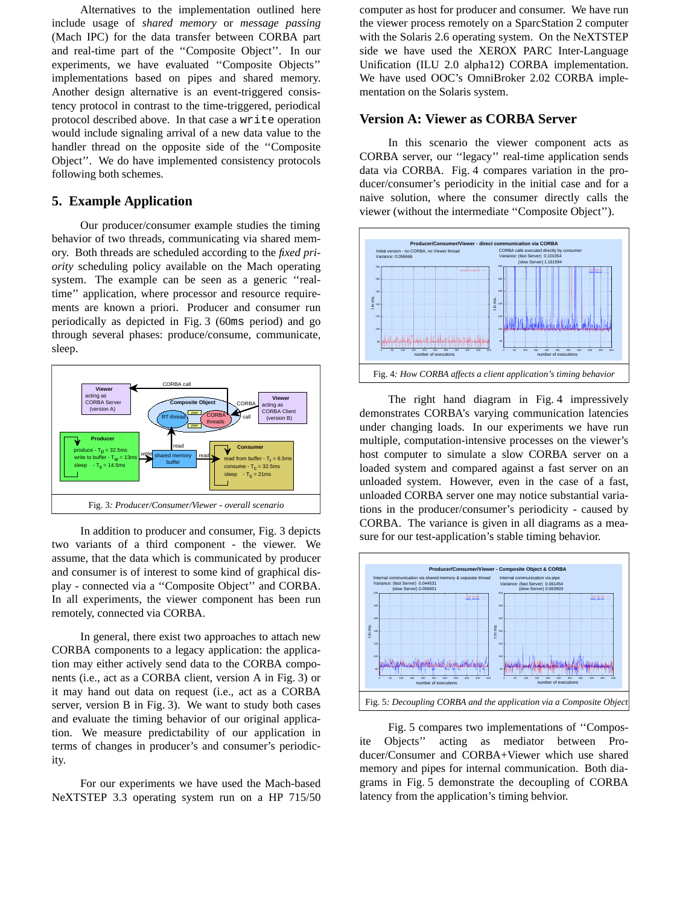Alternatives to the implementation outlined here include usage of *shared memory* or *message passing* (Mach IPC) for the data transfer between CORBA part and real-time part of the ''Composite Object''. In our experiments, we have evaluated ''Composite Objects'' implementations based on pipes and shared memory. Another design alternative is an event-triggered consistency protocol in contrast to the time-triggered, periodical protocol described above. In that case a write operation would include signaling arrival of a new data value to the handler thread on the opposite side of the ''Composite Object". We do have implemented consistency protocols following both schemes.

#### **5. Example Application**

Our producer/consumer example studies the timing behavior of two threads, communicating via shared memory. Both threads are scheduled according to the *fixed priority* scheduling policy available on the Mach operating system. The example can be seen as a generic "realtime'' application, where processor and resource requirements are known a priori. Producer and consumer run periodically as depicted in Fig. 3 (60ms period) and go through several phases: produce/consume, communicate, sleep.



In addition to producer and consumer, Fig. 3 depicts two variants of a third component - the viewer. We assume, that the data which is communicated by producer and consumer is of interest to some kind of graphical dis<sup>p</sup>lay - connected via a ''Composite Object'' and CORBA. In all experiments, the viewer component has been run remotely, connected via CORBA.

In general, there exist two approaches to attach new CORBA components to a legacy application: the application may either actively send data to the CORBA components (i.e., act as a CORBA client, version A in Fig. 3) or it may hand out data on request (i.e., act as a CORBA server, version B in Fig. 3). We want to study both cases and evaluate the timing behavior of our original application. We measure predictability of our application in terms of changes in producer's and consumer's periodicity.

For our experiments we have used the Mach-based NeXTSTEP 3.3 operating system run on a HP 715/50 computer as host for producer and consumer. We have run the viewer process remotely on a SparcStation <sup>2</sup> computer with the Solaris 2.6 operating system. On the NeXTSTEP side we have used the XEROX PARC Inter-Language Unification (ILU 2.0 alpha12) CORBA implementation. We have used OOC's OmniBroker 2.02 CORBA implementation on the Solaris system.

# **Version A: Viewer as CORBA Server**

In this scenario the viewer component acts as CORBA server, our ''legacy'' real-time application sends data via CORBA. Fig. <sup>4</sup> compares variation in the producer/consumer's periodicity in the initial case and for a naive solution, where the consumer directly calls the viewer (without the intermediate ''Composite Object'').



The right hand diagram in Fig. <sup>4</sup> impressively demonstrates CORBA's varying communication latencies under changing loads. In our experiments we have run multiple, computation-intensive processes on the viewer's host computer to simulate a slow CORBA server on a loaded system and compared against a fast server on an unloaded system. However, even in the case of a fast, unloaded CORBA server one may notice substantial variations in the producer/consumer's periodicity - caused by CORBA. The variance is given in all diagrams as a measure for our test-application's stable timing behavior.



Fig. 5 compares two implementations of ''Composite Objects'' acting as mediator between Producer/Consumer and CORBA+Viewer which use shared memory and pipes for internal communication. Both diagrams in Fig. <sup>5</sup> demonstrate the decoupling of CORBA latency from the application's timing behvior.